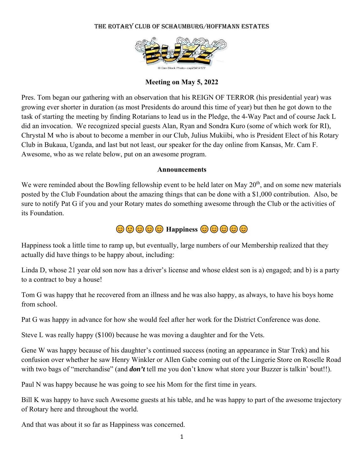## THE ROTARY CLUB OF SCHAUMBURG/HOFFMANN ESTATES



## **Meeting on May 5, 2022**

Pres. Tom began our gathering with an observation that his REIGN OF TERROR (his presidential year) was growing ever shorter in duration (as most Presidents do around this time of year) but then he got down to the task of starting the meeting by finding Rotarians to lead us in the Pledge, the 4-Way Pact and of course Jack L did an invocation. We recognized special guests Alan, Ryan and Sondra Kuro (some of which work for RI), Chrystal M who is about to become a member in our Club, Julius Mukiibi, who is President Elect of his Rotary Club in Bukaua, Uganda, and last but not least, our speaker for the day online from Kansas, Mr. Cam F. Awesome, who as we relate below, put on an awesome program.

### **Announcements**

We were reminded about the Bowling fellowship event to be held later on May  $20<sup>th</sup>$ , and on some new materials posted by the Club Foundation about the amazing things that can be done with a \$1,000 contribution. Also, be sure to notify Pat G if you and your Rotary mates do something awesome through the Club or the activities of its Foundation.

# $\odot$   $\odot$   $\odot$   $\odot$   $\odot$   $\odot$   $\odot$   $\odot$   $\odot$

Happiness took a little time to ramp up, but eventually, large numbers of our Membership realized that they actually did have things to be happy about, including:

Linda D, whose 21 year old son now has a driver's license and whose eldest son is a) engaged; and b) is a party to a contract to buy a house!

Tom G was happy that he recovered from an illness and he was also happy, as always, to have his boys home from school.

Pat G was happy in advance for how she would feel after her work for the District Conference was done.

Steve L was really happy (\$100) because he was moving a daughter and for the Vets.

Gene W was happy because of his daughter's continued success (noting an appearance in Star Trek) and his confusion over whether he saw Henry Winkler or Allen Gabe coming out of the Lingerie Store on Roselle Road with two bags of "merchandise" (and *don't* tell me you don't know what store your Buzzer is talkin' bout!!).

Paul N was happy because he was going to see his Mom for the first time in years.

Bill K was happy to have such Awesome guests at his table, and he was happy to part of the awesome trajectory of Rotary here and throughout the world.

And that was about it so far as Happiness was concerned.